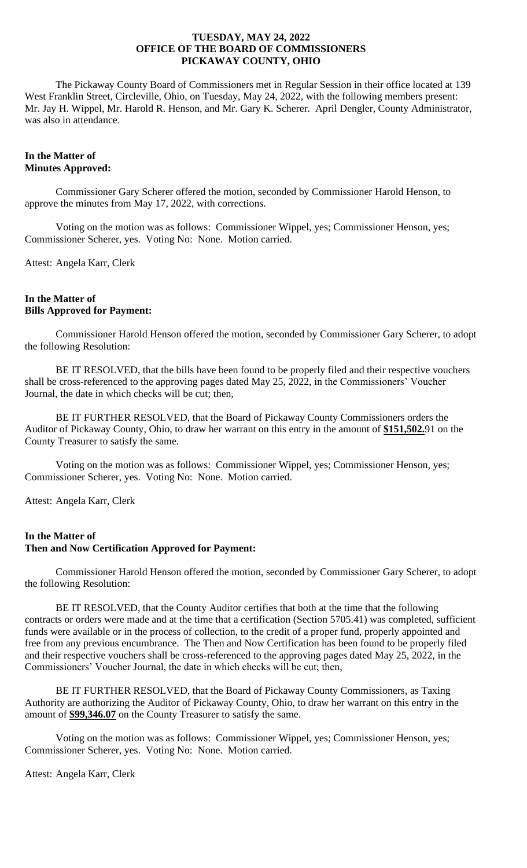The Pickaway County Board of Commissioners met in Regular Session in their office located at 139 West Franklin Street, Circleville, Ohio, on Tuesday, May 24, 2022, with the following members present: Mr. Jay H. Wippel, Mr. Harold R. Henson, and Mr. Gary K. Scherer. April Dengler, County Administrator, was also in attendance.

# **In the Matter of Minutes Approved:**

Commissioner Gary Scherer offered the motion, seconded by Commissioner Harold Henson, to approve the minutes from May 17, 2022, with corrections.

Voting on the motion was as follows: Commissioner Wippel, yes; Commissioner Henson, yes; Commissioner Scherer, yes. Voting No: None. Motion carried.

Attest: Angela Karr, Clerk

# **In the Matter of Bills Approved for Payment:**

Commissioner Harold Henson offered the motion, seconded by Commissioner Gary Scherer, to adopt the following Resolution:

BE IT RESOLVED, that the bills have been found to be properly filed and their respective vouchers shall be cross-referenced to the approving pages dated May 25, 2022, in the Commissioners' Voucher Journal, the date in which checks will be cut; then,

BE IT FURTHER RESOLVED, that the Board of Pickaway County Commissioners orders the Auditor of Pickaway County, Ohio, to draw her warrant on this entry in the amount of **\$151,502.**91 on the County Treasurer to satisfy the same.

Voting on the motion was as follows: Commissioner Wippel, yes; Commissioner Henson, yes; Commissioner Scherer, yes. Voting No: None. Motion carried.

Attest: Angela Karr, Clerk

# **In the Matter of Then and Now Certification Approved for Payment:**

Commissioner Harold Henson offered the motion, seconded by Commissioner Gary Scherer, to adopt the following Resolution:

BE IT RESOLVED, that the County Auditor certifies that both at the time that the following contracts or orders were made and at the time that a certification (Section 5705.41) was completed, sufficient funds were available or in the process of collection, to the credit of a proper fund, properly appointed and free from any previous encumbrance. The Then and Now Certification has been found to be properly filed and their respective vouchers shall be cross-referenced to the approving pages dated May 25, 2022, in the Commissioners' Voucher Journal, the date in which checks will be cut; then,

BE IT FURTHER RESOLVED, that the Board of Pickaway County Commissioners, as Taxing Authority are authorizing the Auditor of Pickaway County, Ohio, to draw her warrant on this entry in the amount of **\$99,346.07** on the County Treasurer to satisfy the same.

Voting on the motion was as follows: Commissioner Wippel, yes; Commissioner Henson, yes; Commissioner Scherer, yes. Voting No: None. Motion carried.

Attest: Angela Karr, Clerk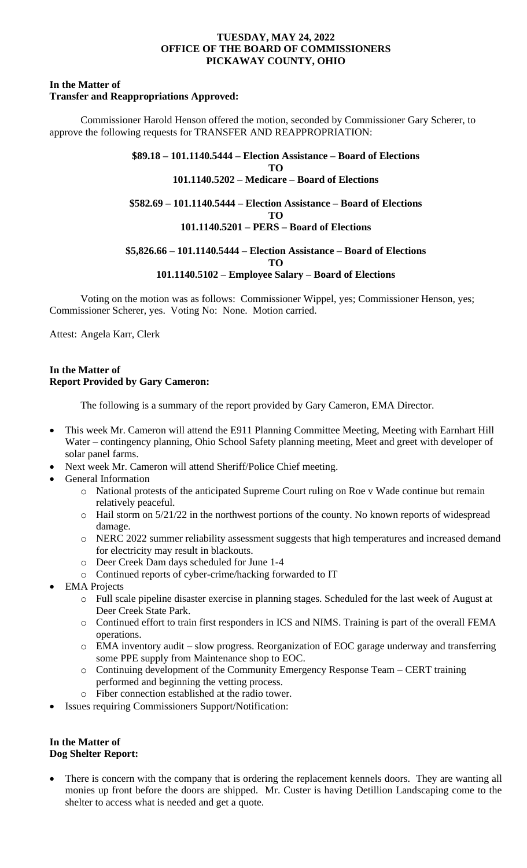#### **In the Matter of Transfer and Reappropriations Approved:**

Commissioner Harold Henson offered the motion, seconded by Commissioner Gary Scherer, to approve the following requests for TRANSFER AND REAPPROPRIATION:

> **\$89.18 – 101.1140.5444 – Election Assistance – Board of Elections TO 101.1140.5202 – Medicare – Board of Elections \$582.69 – 101.1140.5444 – Election Assistance – Board of Elections TO 101.1140.5201 – PERS – Board of Elections**

> **\$5,826.66 – 101.1140.5444 – Election Assistance – Board of Elections TO 101.1140.5102 – Employee Salary – Board of Elections**

Voting on the motion was as follows: Commissioner Wippel, yes; Commissioner Henson, yes; Commissioner Scherer, yes. Voting No: None. Motion carried.

Attest: Angela Karr, Clerk

# **In the Matter of Report Provided by Gary Cameron:**

The following is a summary of the report provided by Gary Cameron, EMA Director.

- This week Mr. Cameron will attend the E911 Planning Committee Meeting, Meeting with Earnhart Hill Water – contingency planning, Ohio School Safety planning meeting, Meet and greet with developer of solar panel farms.
- Next week Mr. Cameron will attend Sheriff/Police Chief meeting.
- General Information
	- o National protests of the anticipated Supreme Court ruling on Roe v Wade continue but remain relatively peaceful.
	- o Hail storm on 5/21/22 in the northwest portions of the county. No known reports of widespread damage.
	- o NERC 2022 summer reliability assessment suggests that high temperatures and increased demand for electricity may result in blackouts.
	- o Deer Creek Dam days scheduled for June 1-4
	- o Continued reports of cyber-crime/hacking forwarded to IT
- **EMA** Projects
	- o Full scale pipeline disaster exercise in planning stages. Scheduled for the last week of August at Deer Creek State Park.
	- o Continued effort to train first responders in ICS and NIMS. Training is part of the overall FEMA operations.
	- o EMA inventory audit slow progress. Reorganization of EOC garage underway and transferring some PPE supply from Maintenance shop to EOC.
	- o Continuing development of the Community Emergency Response Team CERT training performed and beginning the vetting process.
	- o Fiber connection established at the radio tower.
- Issues requiring Commissioners Support/Notification:

# **In the Matter of Dog Shelter Report:**

There is concern with the company that is ordering the replacement kennels doors. They are wanting all monies up front before the doors are shipped. Mr. Custer is having Detillion Landscaping come to the shelter to access what is needed and get a quote.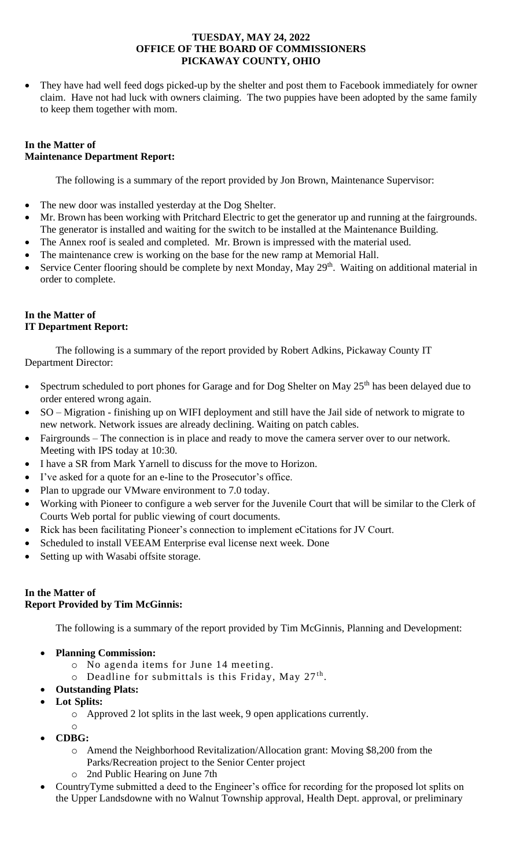• They have had well feed dogs picked-up by the shelter and post them to Facebook immediately for owner claim. Have not had luck with owners claiming. The two puppies have been adopted by the same family to keep them together with mom.

# **In the Matter of Maintenance Department Report:**

The following is a summary of the report provided by Jon Brown, Maintenance Supervisor:

- The new door was installed yesterday at the Dog Shelter.
- Mr. Brown has been working with Pritchard Electric to get the generator up and running at the fairgrounds. The generator is installed and waiting for the switch to be installed at the Maintenance Building.
- The Annex roof is sealed and completed. Mr. Brown is impressed with the material used.
- The maintenance crew is working on the base for the new ramp at Memorial Hall.
- Service Center flooring should be complete by next Monday, May 29<sup>th</sup>. Waiting on additional material in order to complete.

# **In the Matter of IT Department Report:**

The following is a summary of the report provided by Robert Adkins, Pickaway County IT Department Director:

- Spectrum scheduled to port phones for Garage and for Dog Shelter on May  $25<sup>th</sup>$  has been delayed due to order entered wrong again.
- SO Migration finishing up on WIFI deployment and still have the Jail side of network to migrate to new network. Network issues are already declining. Waiting on patch cables.
- Fairgrounds The connection is in place and ready to move the camera server over to our network. Meeting with IPS today at 10:30.
- I have a SR from Mark Yarnell to discuss for the move to Horizon.
- I've asked for a quote for an e-line to the Prosecutor's office.
- Plan to upgrade our VMware environment to 7.0 today.
- Working with Pioneer to configure a web server for the Juvenile Court that will be similar to the Clerk of Courts Web portal for public viewing of court documents.
- Rick has been facilitating Pioneer's connection to implement eCitations for JV Court.
- Scheduled to install VEEAM Enterprise eval license next week. Done
- Setting up with Wasabi offsite storage.

# **In the Matter of Report Provided by Tim McGinnis:**

The following is a summary of the report provided by Tim McGinnis, Planning and Development:

- **Planning Commission:** 
	- o No agenda items for June 14 meeting.
	- $\circ$  Deadline for submittals is this Friday, May 27<sup>th</sup>.
	- **Outstanding Plats:**
- **Lot Splits:**
	- o Approved 2 lot splits in the last week, 9 open applications currently.
- o • **CDBG:** 
	- o Amend the Neighborhood Revitalization/Allocation grant: Moving \$8,200 from the
		- Parks/Recreation project to the Senior Center project
	- o 2nd Public Hearing on June 7th
- CountryTyme submitted a deed to the Engineer's office for recording for the proposed lot splits on the Upper Landsdowne with no Walnut Township approval, Health Dept. approval, or preliminary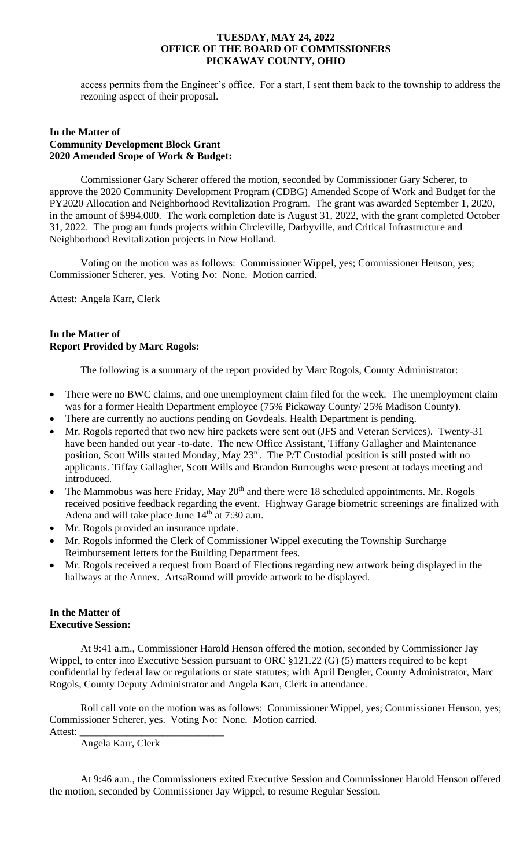access permits from the Engineer's office. For a start, I sent them back to the township to address the rezoning aspect of their proposal.

### **In the Matter of Community Development Block Grant 2020 Amended Scope of Work & Budget:**

Commissioner Gary Scherer offered the motion, seconded by Commissioner Gary Scherer, to approve the 2020 Community Development Program (CDBG) Amended Scope of Work and Budget for the PY2020 Allocation and Neighborhood Revitalization Program. The grant was awarded September 1, 2020, in the amount of \$994,000. The work completion date is August 31, 2022, with the grant completed October 31, 2022. The program funds projects within Circleville, Darbyville, and Critical Infrastructure and Neighborhood Revitalization projects in New Holland.

Voting on the motion was as follows: Commissioner Wippel, yes; Commissioner Henson, yes; Commissioner Scherer, yes. Voting No: None. Motion carried.

Attest: Angela Karr, Clerk

# **In the Matter of Report Provided by Marc Rogols:**

The following is a summary of the report provided by Marc Rogols, County Administrator:

- There were no BWC claims, and one unemployment claim filed for the week. The unemployment claim was for a former Health Department employee (75% Pickaway County/ 25% Madison County).
- There are currently no auctions pending on Govdeals. Health Department is pending.
- Mr. Rogols reported that two new hire packets were sent out (JFS and Veteran Services). Twenty-31 have been handed out year -to-date. The new Office Assistant, Tiffany Gallagher and Maintenance position, Scott Wills started Monday, May 23rd. The P/T Custodial position is still posted with no applicants. Tiffay Gallagher, Scott Wills and Brandon Burroughs were present at todays meeting and introduced.
- The Mammobus was here Friday, May 20<sup>th</sup> and there were 18 scheduled appointments. Mr. Rogols received positive feedback regarding the event. Highway Garage biometric screenings are finalized with Adena and will take place June  $14<sup>th</sup>$  at 7:30 a.m.
- Mr. Rogols provided an insurance update.
- Mr. Rogols informed the Clerk of Commissioner Wippel executing the Township Surcharge Reimbursement letters for the Building Department fees.
- Mr. Rogols received a request from Board of Elections regarding new artwork being displayed in the hallways at the Annex. ArtsaRound will provide artwork to be displayed.

# **In the Matter of Executive Session:**

At 9:41 a.m., Commissioner Harold Henson offered the motion, seconded by Commissioner Jay Wippel, to enter into Executive Session pursuant to ORC §121.22 (G) (5) matters required to be kept confidential by federal law or regulations or state statutes; with April Dengler, County Administrator, Marc Rogols, County Deputy Administrator and Angela Karr, Clerk in attendance.

Roll call vote on the motion was as follows: Commissioner Wippel, yes; Commissioner Henson, yes; Commissioner Scherer, yes. Voting No: None. Motion carried.

Attest:

Angela Karr, Clerk

At 9:46 a.m., the Commissioners exited Executive Session and Commissioner Harold Henson offered the motion, seconded by Commissioner Jay Wippel, to resume Regular Session.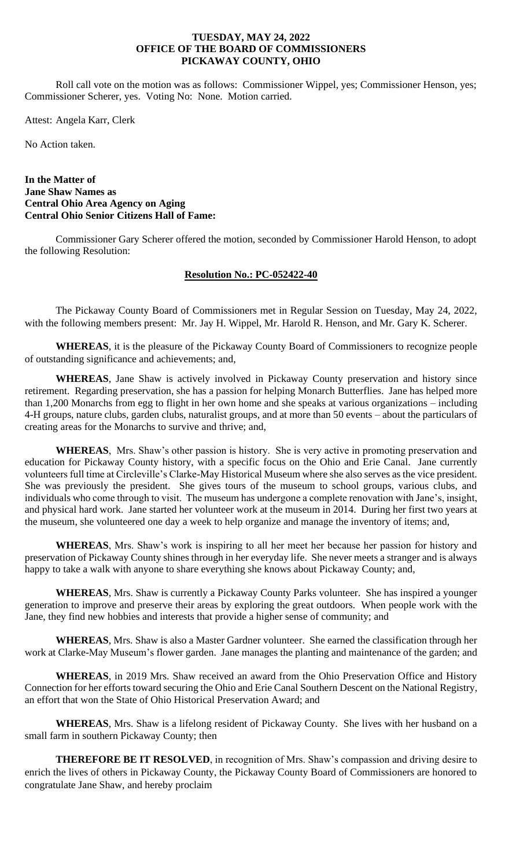Roll call vote on the motion was as follows: Commissioner Wippel, yes; Commissioner Henson, yes; Commissioner Scherer, yes. Voting No: None. Motion carried.

Attest: Angela Karr, Clerk

No Action taken.

### **In the Matter of Jane Shaw Names as Central Ohio Area Agency on Aging Central Ohio Senior Citizens Hall of Fame:**

Commissioner Gary Scherer offered the motion, seconded by Commissioner Harold Henson, to adopt the following Resolution:

# **Resolution No.: PC-052422-40**

The Pickaway County Board of Commissioners met in Regular Session on Tuesday, May 24, 2022, with the following members present: Mr. Jay H. Wippel, Mr. Harold R. Henson, and Mr. Gary K. Scherer.

**WHEREAS**, it is the pleasure of the Pickaway County Board of Commissioners to recognize people of outstanding significance and achievements; and,

**WHEREAS**, Jane Shaw is actively involved in Pickaway County preservation and history since retirement. Regarding preservation, she has a passion for helping Monarch Butterflies. Jane has helped more than 1,200 Monarchs from egg to flight in her own home and she speaks at various organizations – including 4-H groups, nature clubs, garden clubs, naturalist groups, and at more than 50 events – about the particulars of creating areas for the Monarchs to survive and thrive; and,

**WHEREAS**, Mrs. Shaw's other passion is history. She is very active in promoting preservation and education for Pickaway County history, with a specific focus on the Ohio and Erie Canal. Jane currently volunteers full time at Circleville's Clarke-May Historical Museum where she also serves as the vice president. She was previously the president. She gives tours of the museum to school groups, various clubs, and individuals who come through to visit. The museum has undergone a complete renovation with Jane's, insight, and physical hard work. Jane started her volunteer work at the museum in 2014. During her first two years at the museum, she volunteered one day a week to help organize and manage the inventory of items; and,

**WHEREAS**, Mrs. Shaw's work is inspiring to all her meet her because her passion for history and preservation of Pickaway County shines through in her everyday life. She never meets a stranger and is always happy to take a walk with anyone to share everything she knows about Pickaway County; and,

**WHEREAS**, Mrs. Shaw is currently a Pickaway County Parks volunteer. She has inspired a younger generation to improve and preserve their areas by exploring the great outdoors. When people work with the Jane, they find new hobbies and interests that provide a higher sense of community; and

**WHEREAS**, Mrs. Shaw is also a Master Gardner volunteer. She earned the classification through her work at Clarke-May Museum's flower garden. Jane manages the planting and maintenance of the garden; and

**WHEREAS**, in 2019 Mrs. Shaw received an award from the Ohio Preservation Office and History Connection for her efforts toward securing the Ohio and Erie Canal Southern Descent on the National Registry, an effort that won the State of Ohio Historical Preservation Award; and

**WHEREAS**, Mrs. Shaw is a lifelong resident of Pickaway County. She lives with her husband on a small farm in southern Pickaway County; then

**THEREFORE BE IT RESOLVED**, in recognition of Mrs. Shaw's compassion and driving desire to enrich the lives of others in Pickaway County, the Pickaway County Board of Commissioners are honored to congratulate Jane Shaw, and hereby proclaim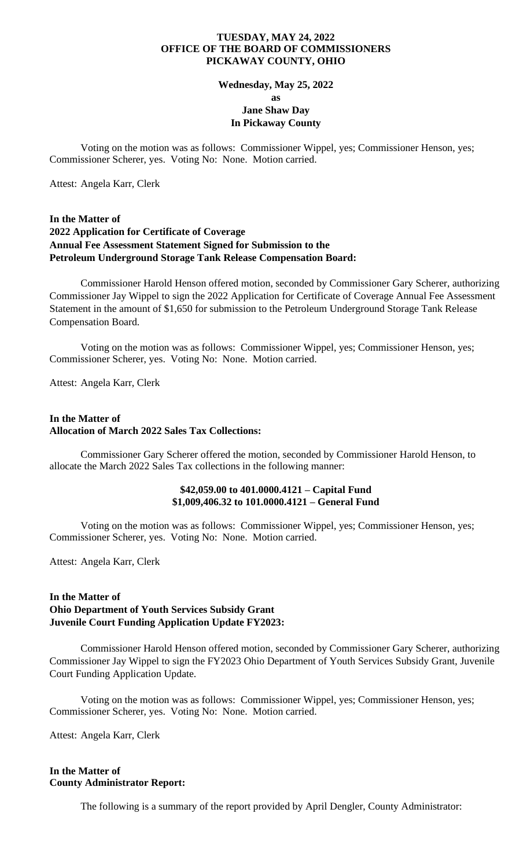#### **Wednesday, May 25, 2022**

**as Jane Shaw Day In Pickaway County**

Voting on the motion was as follows: Commissioner Wippel, yes; Commissioner Henson, yes; Commissioner Scherer, yes. Voting No: None. Motion carried.

Attest: Angela Karr, Clerk

# **In the Matter of 2022 Application for Certificate of Coverage Annual Fee Assessment Statement Signed for Submission to the Petroleum Underground Storage Tank Release Compensation Board:**

Commissioner Harold Henson offered motion, seconded by Commissioner Gary Scherer, authorizing Commissioner Jay Wippel to sign the 2022 Application for Certificate of Coverage Annual Fee Assessment Statement in the amount of \$1,650 for submission to the Petroleum Underground Storage Tank Release Compensation Board.

Voting on the motion was as follows: Commissioner Wippel, yes; Commissioner Henson, yes; Commissioner Scherer, yes. Voting No: None. Motion carried.

Attest: Angela Karr, Clerk

# **In the Matter of Allocation of March 2022 Sales Tax Collections:**

Commissioner Gary Scherer offered the motion, seconded by Commissioner Harold Henson, to allocate the March 2022 Sales Tax collections in the following manner:

### **\$42,059.00 to 401.0000.4121 – Capital Fund \$1,009,406.32 to 101.0000.4121 – General Fund**

Voting on the motion was as follows: Commissioner Wippel, yes; Commissioner Henson, yes; Commissioner Scherer, yes. Voting No: None. Motion carried.

Attest: Angela Karr, Clerk

# **In the Matter of Ohio Department of Youth Services Subsidy Grant Juvenile Court Funding Application Update FY2023:**

Commissioner Harold Henson offered motion, seconded by Commissioner Gary Scherer, authorizing Commissioner Jay Wippel to sign the FY2023 Ohio Department of Youth Services Subsidy Grant, Juvenile Court Funding Application Update.

Voting on the motion was as follows: Commissioner Wippel, yes; Commissioner Henson, yes; Commissioner Scherer, yes. Voting No: None. Motion carried.

Attest: Angela Karr, Clerk

# **In the Matter of County Administrator Report:**

The following is a summary of the report provided by April Dengler, County Administrator: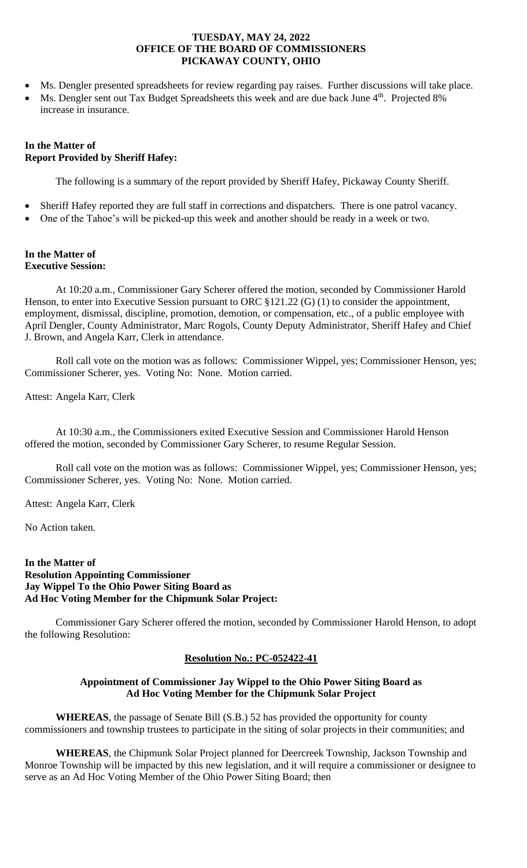- Ms. Dengler presented spreadsheets for review regarding pay raises. Further discussions will take place.
- Ms. Dengler sent out Tax Budget Spreadsheets this week and are due back June 4<sup>th</sup>. Projected 8% increase in insurance.

# **In the Matter of Report Provided by Sheriff Hafey:**

The following is a summary of the report provided by Sheriff Hafey, Pickaway County Sheriff.

- Sheriff Hafey reported they are full staff in corrections and dispatchers. There is one patrol vacancy.
- One of the Tahoe's will be picked-up this week and another should be ready in a week or two.

#### **In the Matter of Executive Session:**

At 10:20 a.m., Commissioner Gary Scherer offered the motion, seconded by Commissioner Harold Henson, to enter into Executive Session pursuant to ORC  $$121.22$  (G) (1) to consider the appointment, employment, dismissal, discipline, promotion, demotion, or compensation, etc., of a public employee with April Dengler, County Administrator, Marc Rogols, County Deputy Administrator, Sheriff Hafey and Chief J. Brown, and Angela Karr, Clerk in attendance.

Roll call vote on the motion was as follows: Commissioner Wippel, yes; Commissioner Henson, yes; Commissioner Scherer, yes. Voting No: None. Motion carried.

Attest: Angela Karr, Clerk

At 10:30 a.m., the Commissioners exited Executive Session and Commissioner Harold Henson offered the motion, seconded by Commissioner Gary Scherer, to resume Regular Session.

Roll call vote on the motion was as follows: Commissioner Wippel, yes; Commissioner Henson, yes; Commissioner Scherer, yes. Voting No: None. Motion carried.

Attest: Angela Karr, Clerk

No Action taken.

# **In the Matter of Resolution Appointing Commissioner Jay Wippel To the Ohio Power Siting Board as Ad Hoc Voting Member for the Chipmunk Solar Project:**

Commissioner Gary Scherer offered the motion, seconded by Commissioner Harold Henson, to adopt the following Resolution:

# **Resolution No.: PC-052422-41**

# **Appointment of Commissioner Jay Wippel to the Ohio Power Siting Board as Ad Hoc Voting Member for the Chipmunk Solar Project**

**WHEREAS**, the passage of Senate Bill (S.B.) 52 has provided the opportunity for county commissioners and township trustees to participate in the siting of solar projects in their communities; and

**WHEREAS**, the Chipmunk Solar Project planned for Deercreek Township, Jackson Township and Monroe Township will be impacted by this new legislation, and it will require a commissioner or designee to serve as an Ad Hoc Voting Member of the Ohio Power Siting Board; then